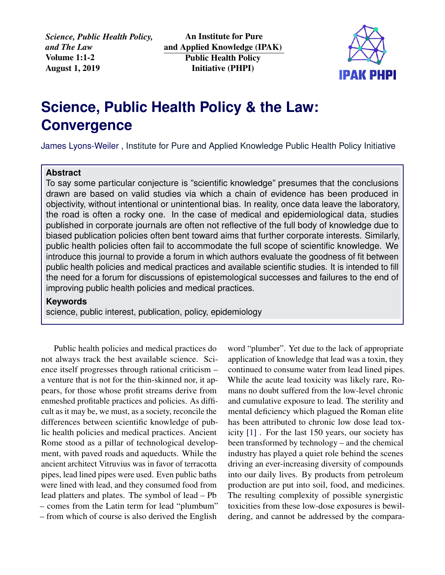*Science, Public Health Policy, and The Law* Volume 1:1-2 August 1, 2019

An Institute for Pure and Applied Knowledge (IPAK) Public Health Policy Initiative (PHPI)



## **Science, Public Health Policy & the Law: Convergence**

James Lyons-Weiler , [Institute for Pure and Applied Knowledge Public Health Policy Initiative](https://jameslyonsweiler.com/ )

## **Abstract**

To say some particular conjecture is "scientific knowledge" presumes that the conclusions drawn are based on valid studies via which a chain of evidence has been produced in objectivity, without intentional or unintentional bias. In reality, once data leave the laboratory, the road is often a rocky one. In the case of medical and epidemiological data, studies published in corporate journals are often not reflective of the full body of knowledge due to biased publication policies often bent toward aims that further corporate interests. Similarly, public health policies often fail to accommodate the full scope of scientific knowledge. We introduce this journal to provide a forum in which authors evaluate the goodness of fit between public health policies and medical practices and available scientific studies. It is intended to fill the need for a forum for discussions of epistemological successes and failures to the end of improving public health policies and medical practices.

## **Keywords**

science, public interest, publication, policy, epidemiology

Public health policies and medical practices do not always track the best available science. Science itself progresses through rational criticism – a venture that is not for the thin-skinned nor, it appears, for those whose profit streams derive from enmeshed profitable practices and policies. As difficult as it may be, we must, as a society, reconcile the differences between scientific knowledge of public health policies and medical practices. Ancient Rome stood as a pillar of technological development, with paved roads and aqueducts. While the ancient architect Vitruvius was in favor of terracotta pipes, lead lined pipes were used. Even public baths were lined with lead, and they consumed food from lead platters and plates. The symbol of lead – Pb – comes from the Latin term for lead "plumbum" – from which of course is also derived the English

word "plumber". Yet due to the lack of appropriate application of knowledge that lead was a toxin, they continued to consume water from lead lined pipes. While the acute lead toxicity was likely rare, Romans no doubt suffered from the low-level chronic and cumulative exposure to lead. The sterility and mental deficiency which plagued the Roman elite has been attributed to chronic low dose lead toxicity [\[1\]](#page-1-0) . For the last 150 years, our society has been transformed by technology – and the chemical industry has played a quiet role behind the scenes driving an ever-increasing diversity of compounds into our daily lives. By products from petroleum production are put into soil, food, and medicines. The resulting complexity of possible synergistic toxicities from these low-dose exposures is bewildering, and cannot be addressed by the compara